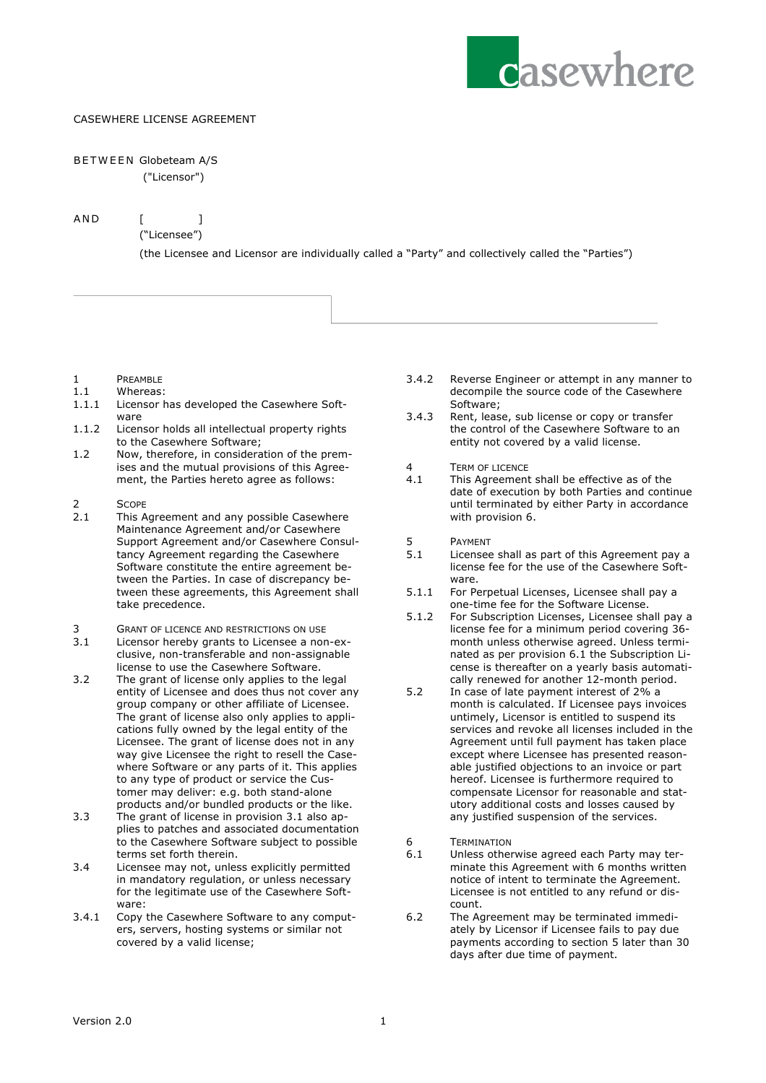

## CASEWHERE LICENSE AGREEMENT

## BETWEEN Globeteam A/S

("Licensor")

AND [ ]

("Licensee")

(the Licensee and Licensor are individually called a "Party" and collectively called the "Parties")

- 1 PREAMBLE<br>11 Whereas
- Whereas:
- 1.1.1 Licensor has developed the Casewhere Software
- 1.1.2 Licensor holds all intellectual property rights to the Casewhere Software;
- 1.2 Now, therefore, in consideration of the premises and the mutual provisions of this Agreement, the Parties hereto agree as follows:
- 2 SCOPE<br>2.1 This A
- This Agreement and any possible Casewhere Maintenance Agreement and/or Casewhere Support Agreement and/or Casewhere Consultancy Agreement regarding the Casewhere Software constitute the entire agreement between the Parties. In case of discrepancy between these agreements, this Agreement shall take precedence.
- 3 GRANT OF LICENCE AND RESTRICTIONS ON USE
- 3.1 Licensor hereby grants to Licensee a non-exclusive, non-transferable and non-assignable license to use the Casewhere Software.
- 3.2 The grant of license only applies to the legal entity of Licensee and does thus not cover any group company or other affiliate of Licensee. The grant of license also only applies to applications fully owned by the legal entity of the Licensee. The grant of license does not in any way give Licensee the right to resell the Casewhere Software or any parts of it. This applies to any type of product or service the Customer may deliver: e.g. both stand-alone products and/or bundled products or the like.
- 3.3 The grant of license in provision 3.1 also applies to patches and associated documentation to the Casewhere Software subject to possible terms set forth therein.
- 3.4 Licensee may not, unless explicitly permitted in mandatory regulation, or unless necessary for the legitimate use of the Casewhere Software:
- 3.4.1 Copy the Casewhere Software to any computers, servers, hosting systems or similar not covered by a valid license;
- 3.4.2 Reverse Engineer or attempt in any manner to decompile the source code of the Casewhere Software;
- 3.4.3 Rent, lease, sub license or copy or transfer the control of the Casewhere Software to an entity not covered by a valid license.
- 4 TERM OF LICENCE
- 4.1 This Agreement shall be effective as of the date of execution by both Parties and continue until terminated by either Party in accordance with provision 6.
- 5 PAYMENT<br>5.1 Licensee
- Licensee shall as part of this Agreement pay a license fee for the use of the Casewhere Software.
- 5.1.1 For Perpetual Licenses, Licensee shall pay a one-time fee for the Software License.
- 5.1.2 For Subscription Licenses, Licensee shall pay a license fee for a minimum period covering 36 month unless otherwise agreed. Unless terminated as per provision 6.1 the Subscription License is thereafter on a yearly basis automatically renewed for another 12-month period.
- 5.2 In case of late payment interest of 2% a month is calculated. If Licensee pays invoices untimely, Licensor is entitled to suspend its services and revoke all licenses included in the Agreement until full payment has taken place except where Licensee has presented reasonable justified objections to an invoice or part hereof. Licensee is furthermore required to compensate Licensor for reasonable and statutory additional costs and losses caused by any justified suspension of the services.
- 6 TERMINATION
- 6.1 Unless otherwise agreed each Party may terminate this Agreement with 6 months written notice of intent to terminate the Agreement. Licensee is not entitled to any refund or discount.
- 6.2 The Agreement may be terminated immediately by Licensor if Licensee fails to pay due payments according to section 5 later than 30 days after due time of payment.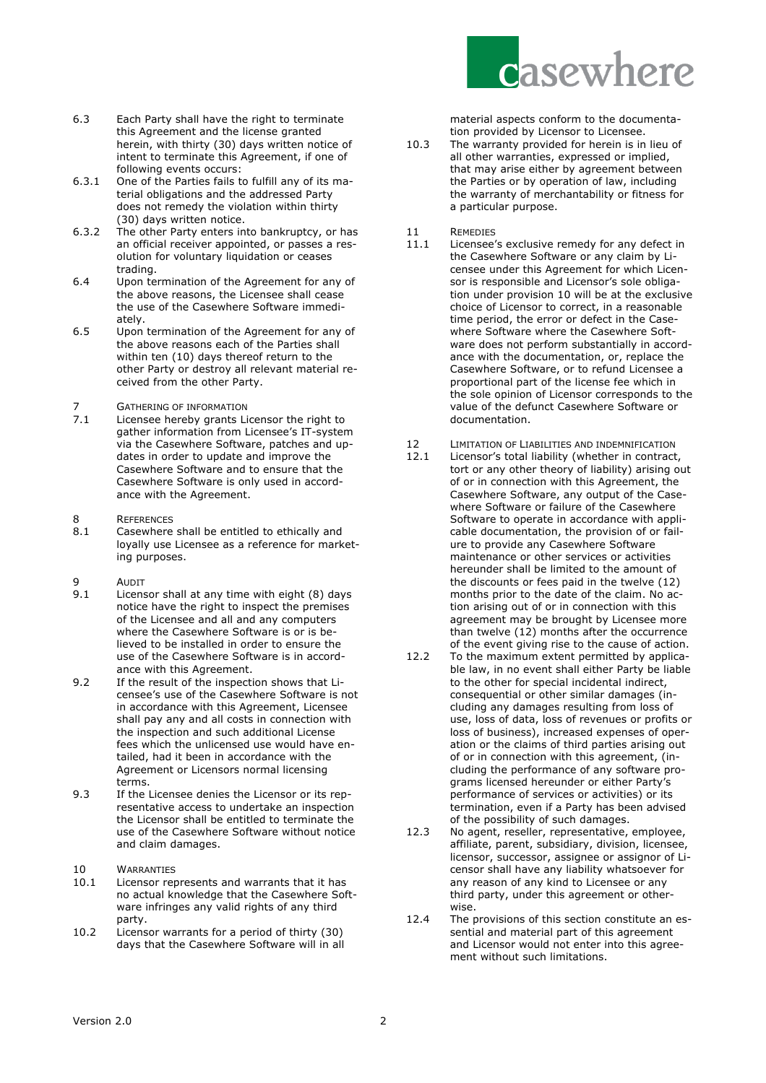

material aspects conform to the documentation provided by Licensor to Licensee.

- 10.3 The warranty provided for herein is in lieu of all other warranties, expressed or implied, that may arise either by agreement between the Parties or by operation of law, including the warranty of merchantability or fitness for a particular purpose.
- 11 REMEDIES<br>11.1 Licensee's
- Licensee's exclusive remedy for any defect in the Casewhere Software or any claim by Licensee under this Agreement for which Licensor is responsible and Licensor's sole obligation under provision 10 will be at the exclusive choice of Licensor to correct, in a reasonable time period, the error or defect in the Casewhere Software where the Casewhere Software does not perform substantially in accordance with the documentation, or, replace the Casewhere Software, or to refund Licensee a proportional part of the license fee which in the sole opinion of Licensor corresponds to the value of the defunct Casewhere Software or documentation.
- 12 LIMITATION OF LIABILITIES AND INDEMNIFICATION
- 12.1 Licensor's total liability (whether in contract, tort or any other theory of liability) arising out of or in connection with this Agreement, the Casewhere Software, any output of the Casewhere Software or failure of the Casewhere Software to operate in accordance with applicable documentation, the provision of or failure to provide any Casewhere Software maintenance or other services or activities hereunder shall be limited to the amount of the discounts or fees paid in the twelve (12) months prior to the date of the claim. No action arising out of or in connection with this agreement may be brought by Licensee more than twelve  $(12)$  months after the occurrence of the event giving rise to the cause of action.
- 12.2 To the maximum extent permitted by applicable law, in no event shall either Party be liable to the other for special incidental indirect, consequential or other similar damages (including any damages resulting from loss of use, loss of data, loss of revenues or profits or loss of business), increased expenses of operation or the claims of third parties arising out of or in connection with this agreement, (including the performance of any software programs licensed hereunder or either Party's performance of services or activities) or its termination, even if a Party has been advised of the possibility of such damages.
- 12.3 No agent, reseller, representative, employee, affiliate, parent, subsidiary, division, licensee, licensor, successor, assignee or assignor of Licensor shall have any liability whatsoever for any reason of any kind to Licensee or any third party, under this agreement or otherwise.
- 12.4 The provisions of this section constitute an essential and material part of this agreement and Licensor would not enter into this agreement without such limitations.
- 6.3 Each Party shall have the right to terminate this Agreement and the license granted herein, with thirty (30) days written notice of intent to terminate this Agreement, if one of following events occurs:
- 6.3.1 One of the Parties fails to fulfill any of its material obligations and the addressed Party does not remedy the violation within thirty (30) days written notice.
- 6.3.2 The other Party enters into bankruptcy, or has an official receiver appointed, or passes a resolution for voluntary liquidation or ceases trading.
- 6.4 Upon termination of the Agreement for any of the above reasons, the Licensee shall cease the use of the Casewhere Software immediately.
- 6.5 Upon termination of the Agreement for any of the above reasons each of the Parties shall within ten (10) days thereof return to the other Party or destroy all relevant material received from the other Party.
- 7 **GATHERING OF INFORMATION**<br>7.1 **Licensee hereby grants Li**
- Licensee hereby grants Licensor the right to gather information from Licensee's IT-system via the Casewhere Software, patches and updates in order to update and improve the Casewhere Software and to ensure that the Casewhere Software is only used in accordance with the Agreement.
- 8 REFERENCES<br>8.1 Casewhere
- Casewhere shall be entitled to ethically and loyally use Licensee as a reference for marketing purposes.
- 9 AUDIT<br>9.1 Licens
- Licensor shall at any time with eight (8) days notice have the right to inspect the premises of the Licensee and all and any computers where the Casewhere Software is or is believed to be installed in order to ensure the use of the Casewhere Software is in accordance with this Agreement.
- 9.2 If the result of the inspection shows that Licensee's use of the Casewhere Software is not in accordance with this Agreement, Licensee shall pay any and all costs in connection with the inspection and such additional License fees which the unlicensed use would have entailed, had it been in accordance with the Agreement or Licensors normal licensing terms.
- 9.3 If the Licensee denies the Licensor or its representative access to undertake an inspection the Licensor shall be entitled to terminate the use of the Casewhere Software without notice and claim damages.
- 10 WARRANTIES<br>10.1 Licensor rer
- Licensor represents and warrants that it has no actual knowledge that the Casewhere Software infringes any valid rights of any third party.
- 10.2 Licensor warrants for a period of thirty (30) days that the Casewhere Software will in all